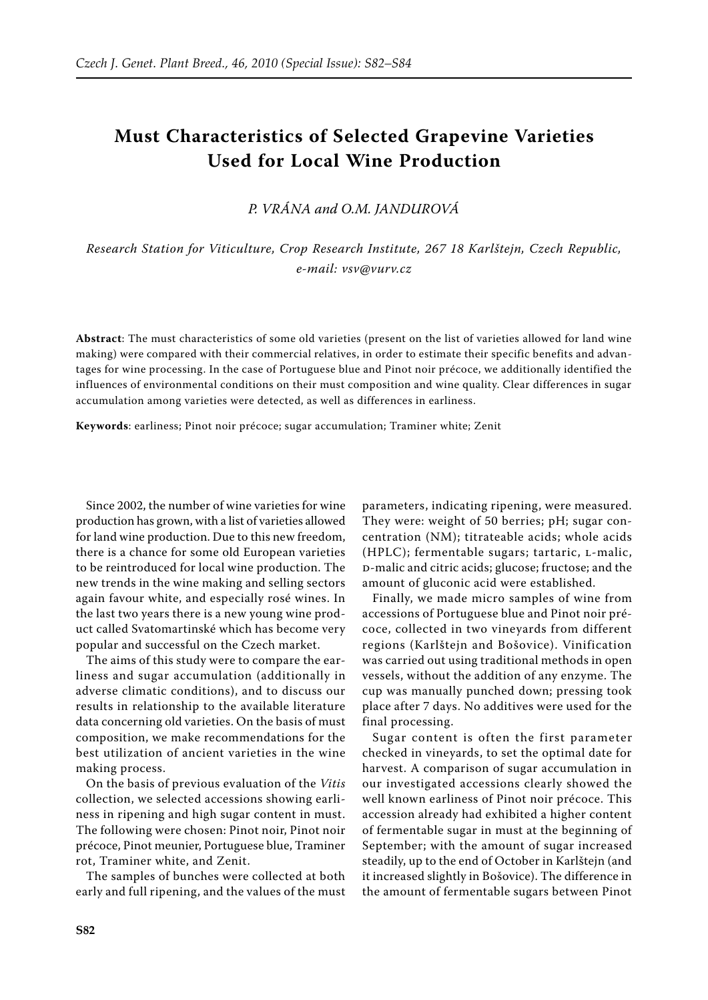## **Must Characteristics of Selected Grapevine Varieties Used for Local Wine Production**

*P. Vrána and O.M. Jandurová*

*Research Station for Viticulture, Crop Research Institute, 267 18 Karlštejn, Czech Republic, e-mail: vsv@vurv.cz*

**Abstract**: The must characteristics of some old varieties (present on the list of varieties allowed for land wine making) were compared with their commercial relatives, in order to estimate their specific benefits and advantages for wine processing. In the case of Portuguese blue and Pinot noir précoce, we additionally identified the influences of environmental conditions on their must composition and wine quality. Clear differences in sugar accumulation among varieties were detected, as well as differences in earliness.

**Keywords**: earliness; Pinot noir précoce; sugar accumulation; Traminer white; Zenit

Since 2002, the number of wine varieties for wine production has grown, with a list of varieties allowed for land wine production. Due to this new freedom, there is a chance for some old European varieties to be reintroduced for local wine production. The new trends in the wine making and selling sectors again favour white, and especially rosé wines. In the last two years there is a new young wine product called Svatomartinské which has become very popular and successful on the Czech market.

The aims of this study were to compare the earliness and sugar accumulation (additionally in adverse climatic conditions), and to discuss our results in relationship to the available literature data concerning old varieties. On the basis of must composition, we make recommendations for the best utilization of ancient varieties in the wine making process.

On the basis of previous evaluation of the *Vitis* collection, we selected accessions showing earliness in ripening and high sugar content in must. The following were chosen: Pinot noir, Pinot noir précoce, Pinot meunier, Portuguese blue, Traminer rot, Traminer white, and Zenit.

The samples of bunches were collected at both early and full ripening, and the values of the must parameters, indicating ripening, were measured. They were: weight of 50 berries; pH; sugar concentration (NM); titrateable acids; whole acids (HPLC); fermentable sugars; tartaric, l-malic, d-malic and citric acids; glucose; fructose; and the amount of gluconic acid were established.

Finally, we made micro samples of wine from accessions of Portuguese blue and Pinot noir précoce, collected in two vineyards from different regions (Karlštejn and Bošovice). Vinification was carried out using traditional methods in open vessels, without the addition of any enzyme. The cup was manually punched down; pressing took place after 7 days. No additives were used for the final processing.

Sugar content is often the first parameter checked in vineyards, to set the optimal date for harvest. A comparison of sugar accumulation in our investigated accessions clearly showed the well known earliness of Pinot noir précoce. This accession already had exhibited a higher content of fermentable sugar in must at the beginning of September; with the amount of sugar increased steadily, up to the end of October in Karlštejn (and it increased slightly in Bošovice). The difference in the amount of fermentable sugars between Pinot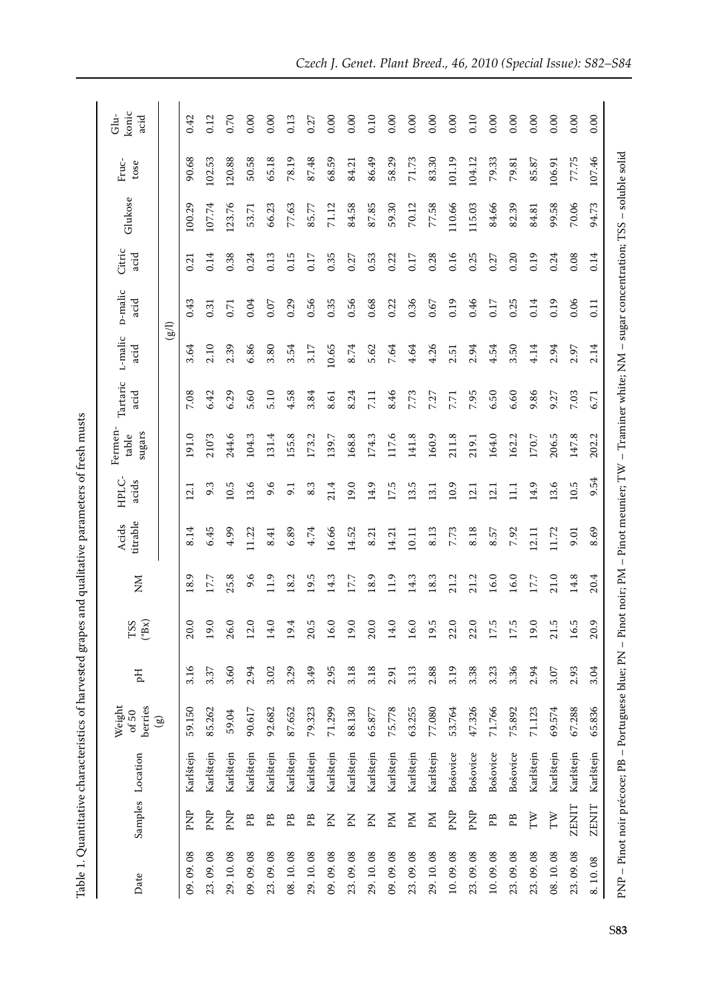| <b>CHARGE CSC CSC</b>                                           |
|-----------------------------------------------------------------|
| -<br>-<br>-<br>$\sim$ $\sim$ $\sim$ $\sim$ $\sim$<br>l<br>ׇ֘֝֬֝ |
| ミヘベート                                                           |
|                                                                 |
| I                                                               |
| l<br>$\frac{1}{2}$<br>i<br>l                                    |

| Date       |                       | Samples Location                                                                                                                                        | Weight<br>berries<br>of $50$ | Hq   | $(^{\circ}Bx)$<br>$_{\rm TSS}$ | MX   | titrable<br>Acids | HPLC-<br>acids | Fermen-<br>sugars<br>table | Tartaric<br>acid | L-malic<br>acid   | p-malic<br>acid   | Citric<br>acid | Glukose | Fruc-<br>tose | konic<br>Glu-<br>acid |
|------------|-----------------------|---------------------------------------------------------------------------------------------------------------------------------------------------------|------------------------------|------|--------------------------------|------|-------------------|----------------|----------------------------|------------------|-------------------|-------------------|----------------|---------|---------------|-----------------------|
|            |                       |                                                                                                                                                         | $\circledcirc$               |      |                                |      |                   |                |                            |                  | $\left( 8\right)$ |                   |                |         |               |                       |
| 09.09.08   | PNP                   | Karlštejn                                                                                                                                               | 59.150                       | 3.16 | 20.0                           | 18.9 | 8.14              | 12.1           | 191.0                      | 7.08             | 3.64              | 0.43              | 0.21           | 100.29  | 90.68         | 0.42                  |
| 23, 09, 08 | PNP                   | Karlštejn                                                                                                                                               | 85.262                       | 3.37 | 19.0                           | 17.7 | 6.45              | 9.3            | 210'3                      | 6.42             | 2.10              | 0.31              | 0.14           | 107.74  | 102.53        | 0.12                  |
| 29.10.08   | PNP                   | Karlštejn                                                                                                                                               | 59.04                        | 3.60 | 26.0                           | 25.8 | 4.99              | 10.5           | 244.6                      | 6.29             | 2.39              | 0.71              | 0.38           | 123.76  | 120.88        | 0.70                  |
| 09.09.08   | ΡB                    | Karlštejn                                                                                                                                               | 90.617                       | 2.94 | 12.0                           | 9.6  | 11.22             | 13.6           | 104.3                      | 5.60             | 6.86              | 0.04              | 0.24           | 53.71   | 50.58         | 0.00                  |
| 23, 09, 08 | PB                    | Karlštejn                                                                                                                                               | 92.682                       | 3.02 | 14.0                           | 11.9 | 8.41              | 9.6            | 131.4                      | 5.10             | 3.80              | 0.07              | 0.13           | 66.23   | 65.18         | 0.00                  |
| 08.10.08   | PB                    | Karlštejn                                                                                                                                               | 87.652                       | 3.29 | 4<br>$\overline{9}$            | 18.2 | 6.89              | 9.1            | 155.8                      | 4.58             | 3.54              | 0.29              | 0.15           | 77.63   | 78.19         | 0.13                  |
| 29.10.08   | PB                    | Karlštejn                                                                                                                                               | 79.323                       | 3.49 | rj<br>$\overline{20}$          | 19.5 | 4.74              | 8.3            | 173.2                      | 3.84             | 3.17              | 0.56              | 0.17           | 85.77   | 87.48         | 0.27                  |
| 09.09.08   | Kd                    | Karlštejn                                                                                                                                               | 71.299                       | 2.95 | 16.0                           | 14.3 | 16.66             | 21.4           | 139.7                      | 8.61             | 10.65             | 0.35              | 0.35           | 71.12   | 68.59         | 0.00                  |
| 23.09.08   | Kd                    | Karlštejn                                                                                                                                               | 88.130                       | 3.18 | 19.0                           | 17.7 | 14.52             | 19.0           | 168.8                      | 8.24             | 8.74              | 0.56              | 0.27           | 84.58   | 84.21         | 0.00                  |
| 29.10.08   | Kd                    | Karlštejn                                                                                                                                               | 65.877                       | 3.18 | 20.0                           | 18.9 | 8.21              | 14.9           | 174.3                      | 7.11             | 5.62              | 0.68              | 0.53           | 87.85   | 86.49         | 0.10                  |
| 09.09.08   | PМ                    | Karlštejn                                                                                                                                               | 75.778                       | 2.91 | 14.0                           | 11.9 | 14.21             | 17.5           | 117.6                      | 8.46             | 7.64              | 0.22              | 0.22           | 59.30   | 58.29         | 0.00                  |
| 23, 09, 08 | Иd                    | Karlštejn                                                                                                                                               | 63.255                       | 3.13 | 16.0                           | 14.3 | 10.11             | 13.5           | 141.8                      | 7.73             | 4.64              | 0.36              | 0.17           | 70.12   | 71.73         | 0.00                  |
| 29.10.08   | ÞМ                    | Karlštejn                                                                                                                                               | 77.080                       | 2.88 | rj<br>$\overline{5}$           | 18.3 | 8.13              | 13.1           | 160.9                      | 7.27             | 4.26              | 0.67              | 0.28           | 77.58   | 83.30         | 0.00                  |
| 10.09.08   | PNP                   | Bošovice                                                                                                                                                | 53.764                       | 3.19 | 22.0                           | 21.2 | 7.73              | 10.9           | 211.8                      | 7.71             | 2.51              | 0.19              | 0.16           | 110.66  | 101.19        | 0.00                  |
| 23.09.08   | PNP                   | Bošovice                                                                                                                                                | 47.326                       | 3.38 | 22.0                           | 21.2 | 8.18              | 12.1           | 219.1                      | 7.95             | 2.94              | 0.46              | 0.25           | 115.03  | 104.12        | 0.10                  |
| 10.09.08   | PB                    | Bošovice                                                                                                                                                | 71.766                       | 3.23 | ŗ.<br>$\overline{L}$           | 16.0 | 8.57              | 12.1           | 164.0                      | 6.50             | 4.54              | 0.17              | 0.27           | 84.66   | 79.33         | 0.00                  |
| 23, 09, 08 | PB                    | Bošovice                                                                                                                                                | 75.892                       | 3.36 | ŗ<br>$\overline{17}$ .         | 16.0 | 7.92              | $\Xi$          | 162.2                      | 6.60             | 3.50              | 0.25              | 0.20           | 82.39   | 79.81         | 0.00                  |
| 23, 09, 08 | $\mathbb T\mathbb{W}$ | Karlštejn                                                                                                                                               | 71.123                       | 2.94 | 19.0                           | 17.7 | 2.11              | 14.9           | 170.7                      | 9.86             | 4.14              | 0.14              | 0.19           | 84.81   | 85.87         | 0.00                  |
| 08.10.08   | $\mathbb T\mathbb{W}$ | Karlštejn                                                                                                                                               | 69.574                       | 3.07 | rj<br>$\overline{21}$          | 21.0 | 11.72             | 13.6           | 206.5                      | 9.27             | 2.94              | 0.19              | 0.24           | 99.58   | 106.91        | 0.00                  |
| 23.09.08   | <b>ZENIT</b>          | Karlštejn                                                                                                                                               | 67.288                       | 2.93 | rj<br><u>َما</u>               | 14.8 | 9.01              | $10.5\,$       | 147.8                      | 7.03             | 2.97              | 0.06              | 0.08           | 70.06   | 77.75         | 0.00                  |
| 8.10.08    | ZENIT                 | Karlštejn                                                                                                                                               | 65.836                       | 3.04 | Ō,<br>$\approx$                | 20.4 | 8.69              | 9.54           | 202.2                      | 6.71             | 2.14              | $\overline{0.11}$ | 0.14           | 94.73   | 107.46        | 0.00                  |
|            |                       | PNP – Pinot noir précoce; PB – Portuguese blue; PN – Pinot noir; PM – Pinot meunier; TW – Traminer white; NM – sugar concentration; TSS – soluble solid |                              |      |                                |      |                   |                |                            |                  |                   |                   |                |         |               |                       |